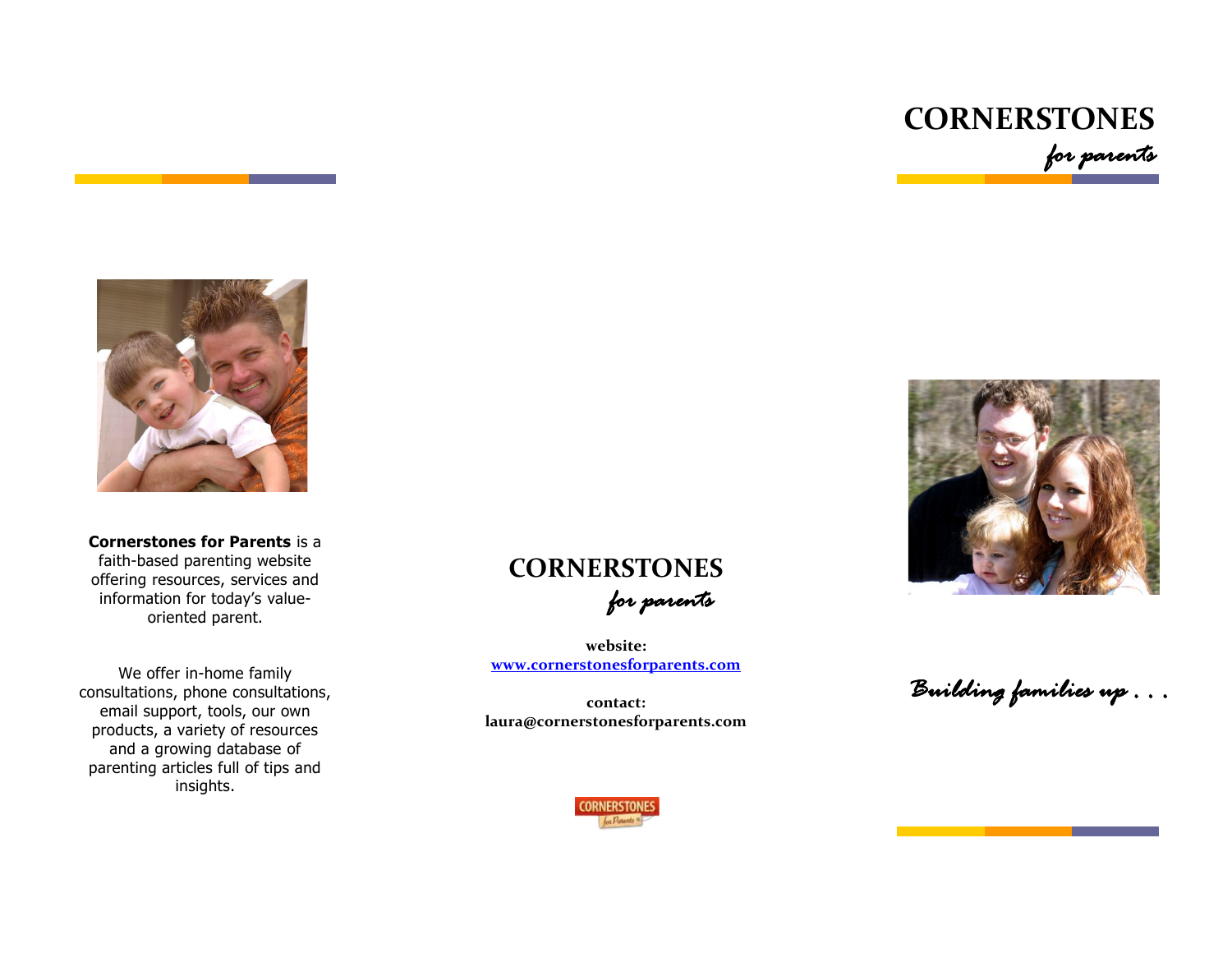



**Cornerstones for Parents** is a faith-based parenting website offering resources, services and information for today's valueoriented parent.

We offer in-home family consultations, phone consultations, email support, tools, our own products, a variety of resources and a growing database of parenting articles full of tips and insights.



**website: [www.cornerstonesforparents.com](http://www.cornerstonesforparents.com/)**

**contact: laura@cornerstonesforparents.com**



*Building families up . . .*